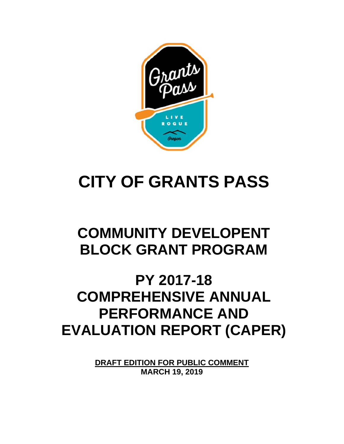

# **CITY OF GRANTS PASS**

## **COMMUNITY DEVELOPENT BLOCK GRANT PROGRAM**

## **PY 2017-18 COMPREHENSIVE ANNUAL PERFORMANCE AND EVALUATION REPORT (CAPER)**

**DRAFT EDITION FOR PUBLIC COMMENT MARCH 19, 2019**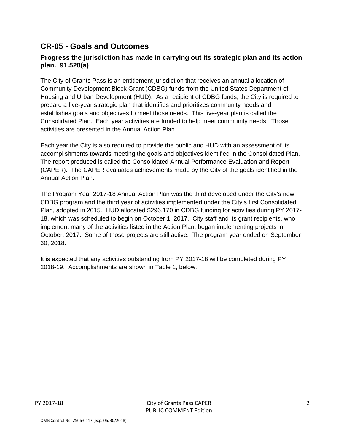### **CR-05 - Goals and Outcomes**

#### **Progress the jurisdiction has made in carrying out its strategic plan and its action plan. 91.520(a)**

The City of Grants Pass is an entitlement jurisdiction that receives an annual allocation of Community Development Block Grant (CDBG) funds from the United States Department of Housing and Urban Development (HUD). As a recipient of CDBG funds, the City is required to prepare a five-year strategic plan that identifies and prioritizes community needs and establishes goals and objectives to meet those needs. This five-year plan is called the Consolidated Plan. Each year activities are funded to help meet community needs. Those activities are presented in the Annual Action Plan.

Each year the City is also required to provide the public and HUD with an assessment of its accomplishments towards meeting the goals and objectives identified in the Consolidated Plan. The report produced is called the Consolidated Annual Performance Evaluation and Report (CAPER). The CAPER evaluates achievements made by the City of the goals identified in the Annual Action Plan.

The Program Year 2017-18 Annual Action Plan was the third developed under the City's new CDBG program and the third year of activities implemented under the City's first Consolidated Plan, adopted in 2015. HUD allocated \$296,170 in CDBG funding for activities during PY 2017- 18, which was scheduled to begin on October 1, 2017. City staff and its grant recipients, who implement many of the activities listed in the Action Plan, began implementing projects in October, 2017. Some of those projects are still active. The program year ended on September 30, 2018.

It is expected that any activities outstanding from PY 2017-18 will be completed during PY 2018-19. Accomplishments are shown in Table 1, below.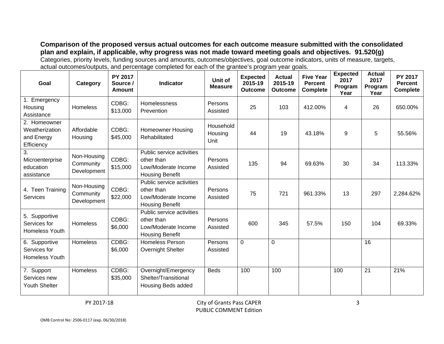**Comparison of the proposed versus actual outcomes for each outcome measure submitted with the consolidated plan and explain, if applicable, why progress was not made toward meeting goals and objectives. 91.520(g)**  Categories, priority levels, funding sources and amounts, outcomes/objectives, goal outcome indicators, units of measure, targets, actual outcomes/outputs, and percentage completed for each of the grantee's program year goals.

| Goal                                                       | Category                                | <b>PY 2017</b><br>Source /<br>Amount | <b>Indicator</b>                                                                         | Unit of<br><b>Measure</b>    | <b>Expected</b><br>2015-19<br><b>Outcome</b> | <b>Actual</b><br>2015-19<br><b>Outcome</b> | <b>Five Year</b><br><b>Percent</b><br><b>Complete</b> | <b>Expected</b><br>2017<br>Program<br>Year | <b>Actual</b><br>2017<br>Program<br>Year | PY 2017<br><b>Percent</b><br><b>Complete</b> |
|------------------------------------------------------------|-----------------------------------------|--------------------------------------|------------------------------------------------------------------------------------------|------------------------------|----------------------------------------------|--------------------------------------------|-------------------------------------------------------|--------------------------------------------|------------------------------------------|----------------------------------------------|
| 1. Emergency<br>Housing<br>Assistance                      | Homeless                                | CDBG:<br>\$13,000                    | <b>Homelessness</b><br>Prevention                                                        | Persons<br>Assisted          | 25                                           | 103                                        | 412.00%                                               | $\overline{4}$                             | 26                                       | 650.00%                                      |
| 2. Homeowner<br>Weatherization<br>and Energy<br>Efficiency | Affordable<br>Housing                   | CDBG:<br>\$45,000                    | Homeowner Housing<br>Rehabilitated                                                       | Household<br>Housing<br>Unit | 44                                           | 19                                         | 43.18%                                                | 9                                          | 5                                        | 55.56%                                       |
| 3.<br>Microenterprise<br>education<br>assistance           | Non-Housing<br>Community<br>Development | CDBG:<br>\$15,000                    | Public service activities<br>other than<br>Low/Moderate Income<br><b>Housing Benefit</b> | Persons<br>Assisted          | 135                                          | 94                                         | 69.63%                                                | 30                                         | 34                                       | 113.33%                                      |
| 4. Teen Training<br><b>Services</b>                        | Non-Housing<br>Community<br>Development | CDBG:<br>\$22,000                    | Public service activities<br>other than<br>Low/Moderate Income<br><b>Housing Benefit</b> | Persons<br>Assisted          | 75                                           | 721                                        | 961.33%                                               | 13                                         | 297                                      | 2,284.62%                                    |
| 5. Supportive<br>Services for<br>Homeless Youth            | <b>Homeless</b>                         | CDBG:<br>\$6,000                     | Public service activities<br>other than<br>Low/Moderate Income<br><b>Housing Benefit</b> | Persons<br>Assisted          | 600                                          | 345                                        | 57.5%                                                 | 150                                        | 104                                      | 69.33%                                       |
| 6. Supportive<br>Services for<br>Homeless Youth            | Homeless                                | CDBG:<br>\$6,000                     | <b>Homeless Person</b><br>Overnight Shelter                                              | Persons<br>Assisted          | $\mathbf 0$                                  | $\Omega$                                   |                                                       |                                            | 16                                       |                                              |
| 7. Support<br>Services new<br><b>Youth Shelter</b>         | Homeless                                | CDBG:<br>\$35,000                    | Overnight/Emergency<br>Shelter/Transitional<br>Housing Beds added                        | <b>Beds</b>                  | 100                                          | 100                                        |                                                       | 100                                        | 21                                       | 21%                                          |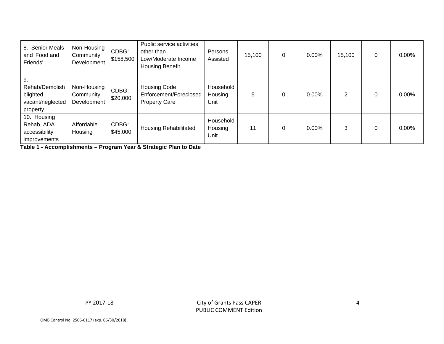| 8. Senior Meals<br>and 'Food and<br>Friends'                      | Non-Housing<br>Community<br>Development | CDBG:<br>\$158,500 | Public service activities<br>other than<br>Low/Moderate Income<br><b>Housing Benefit</b> | Persons<br>Assisted          | 15,100 | $\Omega$ | 0.00%    | 15,100 | 0 | $0.00\%$ |
|-------------------------------------------------------------------|-----------------------------------------|--------------------|------------------------------------------------------------------------------------------|------------------------------|--------|----------|----------|--------|---|----------|
| 9.<br>Rehab/Demolish<br>blighted<br>vacant/neglected<br>property  | Non-Housing<br>Community<br>Development | CDBG:<br>\$20,000  | <b>Housing Code</b><br>Enforcement/Foreclosed<br><b>Property Care</b>                    | Household<br>Housing<br>Unit | 5      |          | $0.00\%$ | 2      | 0 | $0.00\%$ |
| 10. Housing<br>Rehab, ADA<br>accessibility<br><i>improvements</i> | Affordable<br>Housing                   | CDBG:<br>\$45,000  | Housing Rehabilitated                                                                    | Household<br>Housing<br>Unit | 11     |          | 0.00%    | 3      | 0 | $0.00\%$ |

**Table 1 - Accomplishments – Program Year & Strategic Plan to Date** 

PY 2017‐18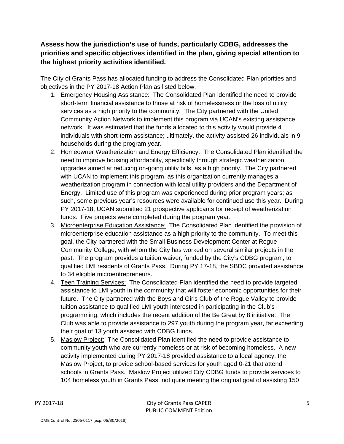**Assess how the jurisdiction's use of funds, particularly CDBG, addresses the priorities and specific objectives identified in the plan, giving special attention to the highest priority activities identified.** 

The City of Grants Pass has allocated funding to address the Consolidated Plan priorities and objectives in the PY 2017-18 Action Plan as listed below.

- 1. Emergency Housing Assistance: The Consolidated Plan identified the need to provide short-term financial assistance to those at risk of homelessness or the loss of utility services as a high priority to the community. The City partnered with the United Community Action Network to implement this program via UCAN's existing assistance network. It was estimated that the funds allocated to this activity would provide 4 individuals with short-term assistance; ultimately, the activity assisted 26 individuals in 9 households during the program year.
- 2. Homeowner Weatherization and Energy Efficiency: The Consolidated Plan identified the need to improve housing affordability, specifically through strategic weatherization upgrades aimed at reducing on-going utility bills, as a high priority. The City partnered with UCAN to implement this program, as this organization currently manages a weatherization program in connection with local utility providers and the Department of Energy. Limited use of this program was experienced during prior program years; as such, some previous year's resources were available for continued use this year. During PY 2017-18, UCAN submitted 21 prospective applicants for receipt of weatherization funds. Five projects were completed during the program year.
- 3. Microenterprise Education Assistance: The Consolidated Plan identified the provision of microenterprise education assistance as a high priority to the community. To meet this goal, the City partnered with the Small Business Development Center at Rogue Community College, with whom the City has worked on several similar projects in the past. The program provides a tuition waiver, funded by the City's CDBG program, to qualified LMI residents of Grants Pass. During PY 17-18, the SBDC provided assistance to 34 eligible microentrepreneurs.
- 4. Teen Training Services: The Consolidated Plan identified the need to provide targeted assistance to LMI youth in the community that will foster economic opportunities for their future. The City partnered with the Boys and Girls Club of the Rogue Valley to provide tuition assistance to qualified LMI youth interested in participating in the Club's programming, which includes the recent addition of the Be Great by 8 initiative. The Club was able to provide assistance to 297 youth during the program year, far exceeding their goal of 13 youth assisted with CDBG funds.
- 5. Maslow Project: The Consolidated Plan identified the need to provide assistance to community youth who are currently homeless or at risk of becoming homeless. A new activity implemented during PY 2017-18 provided assistance to a local agency, the Maslow Project, to provide school-based services for youth aged 0-21 that attend schools in Grants Pass. Maslow Project utilized City CDBG funds to provide services to 104 homeless youth in Grants Pass, not quite meeting the original goal of assisting 150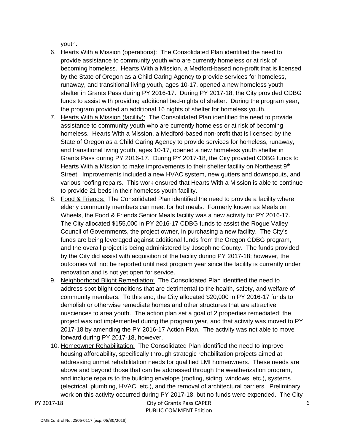youth.

- 6. Hearts With a Mission (operations): The Consolidated Plan identified the need to provide assistance to community youth who are currently homeless or at risk of becoming homeless. Hearts With a Mission, a Medford-based non-profit that is licensed by the State of Oregon as a Child Caring Agency to provide services for homeless, runaway, and transitional living youth, ages 10-17, opened a new homeless youth shelter in Grants Pass during PY 2016-17. During PY 2017-18, the City provided CDBG funds to assist with providing additional bed-nights of shelter. During the program year, the program provided an additional 16 nights of shelter for homeless youth.
- 7. Hearts With a Mission (facility): The Consolidated Plan identified the need to provide assistance to community youth who are currently homeless or at risk of becoming homeless. Hearts With a Mission, a Medford-based non-profit that is licensed by the State of Oregon as a Child Caring Agency to provide services for homeless, runaway, and transitional living youth, ages 10-17, opened a new homeless youth shelter in Grants Pass during PY 2016-17. During PY 2017-18, the City provided CDBG funds to Hearts With a Mission to make improvements to their shelter facility on Northeast 9<sup>th</sup> Street. Improvements included a new HVAC system, new gutters and downspouts, and various roofing repairs. This work ensured that Hearts With a Mission is able to continue to provide 21 beds in their homeless youth facility.
- 8. Food & Friends: The Consolidated Plan identified the need to provide a facility where elderly community members can meet for hot meals. Formerly known as Meals on Wheels, the Food & Friends Senior Meals facility was a new activity for PY 2016-17. The City allocated \$155,000 in PY 2016-17 CDBG funds to assist the Rogue Valley Council of Governments, the project owner, in purchasing a new facility. The City's funds are being leveraged against additional funds from the Oregon CDBG program, and the overall project is being administered by Josephine County. The funds provided by the City did assist with acquisition of the facility during PY 2017-18; however, the outcomes will not be reported until next program year since the facility is currently under renovation and is not yet open for service.
- 9. Neighborhood Blight Remediation: The Consolidated Plan identified the need to address spot blight conditions that are detrimental to the health, safety, and welfare of community members. To this end, the City allocated \$20,000 in PY 2016-17 funds to demolish or otherwise remediate homes and other structures that are attractive nusciences to area youth. The action plan set a goal of 2 properties remediated; the project was not implemented during the program year, and that activity was moved to PY 2017-18 by amending the PY 2016-17 Action Plan. The activity was not able to move forward during PY 2017-18, however.
- 10. Homeowner Rehabilitation: The Consolidated Plan identified the need to improve housing affordability, specifically through strategic rehabilitation projects aimed at addressing unmet rehabilitation needs for qualified LMI homeowners. These needs are above and beyond those that can be addressed through the weatherization program, and include repairs to the building envelope (roofing, siding, windows, etc.), systems (electrical, plumbing, HVAC, etc.), and the removal of architectural barriers. Preliminary work on this activity occurred during PY 2017-18, but no funds were expended. The City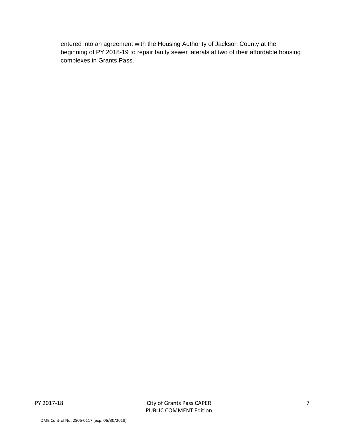entered into an agreement with the Housing Authority of Jackson County at the beginning of PY 2018-19 to repair faulty sewer laterals at two of their affordable housing complexes in Grants Pass.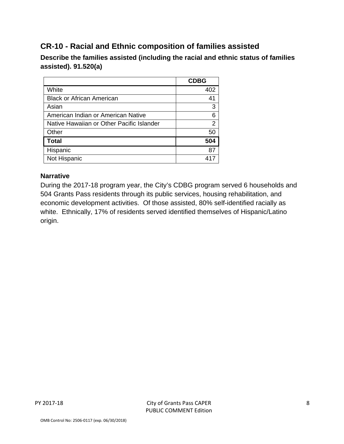## **CR-10 - Racial and Ethnic composition of families assisted**

**Describe the families assisted (including the racial and ethnic status of families assisted). 91.520(a)** 

|                                           | <b>CDBG</b> |
|-------------------------------------------|-------------|
| White                                     | 402         |
| <b>Black or African American</b>          | 41          |
| Asian                                     | 3           |
| American Indian or American Native        | 6           |
| Native Hawaiian or Other Pacific Islander | 2           |
| Other                                     | 50          |
| <b>Total</b>                              | 504         |
| Hispanic                                  | 87          |
| Not Hispanic                              |             |

#### **Narrative**

During the 2017-18 program year, the City's CDBG program served 6 households and 504 Grants Pass residents through its public services, housing rehabilitation, and economic development activities. Of those assisted, 80% self-identified racially as white. Ethnically, 17% of residents served identified themselves of Hispanic/Latino origin.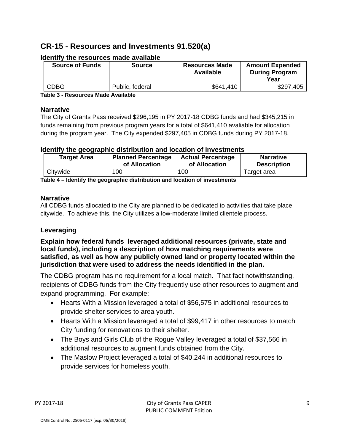## **CR-15 - Resources and Investments 91.520(a)**

| <b>Source of Funds</b> | <b>Source</b>   | <b>Resources Made</b><br>Available | <b>Amount Expended</b><br><b>During Program</b><br>Year |
|------------------------|-----------------|------------------------------------|---------------------------------------------------------|
| <b>CDBG</b>            | Public, federal | \$641,410                          | \$297,405                                               |

#### **Identify the resources made available**

**Table 3 - Resources Made Available** 

#### **Narrative**

The City of Grants Pass received \$296,195 in PY 2017-18 CDBG funds and had \$345,215 in funds remaining from previous program years for a total of \$641,410 avaliable for allocation during the program year. The City expended \$297,405 in CDBG funds during PY 2017-18.

#### **Identify the geographic distribution and location of investments**

| <b>Target Area</b> | <b>Planned Percentage</b> | <b>Actual Percentage</b> | <b>Narrative</b>   |
|--------------------|---------------------------|--------------------------|--------------------|
|                    | of Allocation             | of Allocation            | <b>Description</b> |
| Citywide           | 100                       | 100                      | Target area        |

**Table 4 – Identify the geographic distribution and location of investments** 

#### **Narrative**

All CDBG funds allocated to the City are planned to be dedicated to activities that take place citywide. To achieve this, the City utilizes a low-moderate limited clientele process.

#### **Leveraging**

**Explain how federal funds leveraged additional resources (private, state and local funds), including a description of how matching requirements were satisfied, as well as how any publicly owned land or property located within the jurisdiction that were used to address the needs identified in the plan.** 

The CDBG program has no requirement for a local match. That fact notwithstanding, recipients of CDBG funds from the City frequently use other resources to augment and expand programming. For example:

- Hearts With a Mission leveraged a total of \$56,575 in additional resources to provide shelter services to area youth.
- Hearts With a Mission leveraged a total of \$99,417 in other resources to match City funding for renovations to their shelter.
- The Boys and Girls Club of the Rogue Valley leveraged a total of \$37,566 in additional resources to augment funds obtained from the City.
- The Maslow Project leveraged a total of \$40,244 in additional resources to provide services for homeless youth.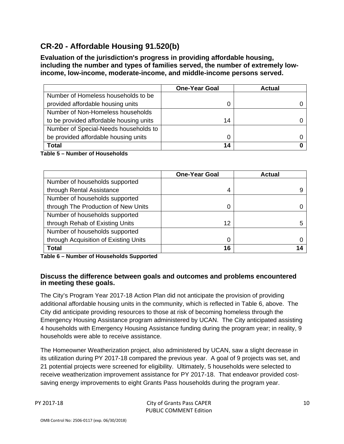## **CR-20 - Affordable Housing 91.520(b)**

**Evaluation of the jurisdiction's progress in providing affordable housing, including the number and types of families served, the number of extremely lowincome, low-income, moderate-income, and middle-income persons served.** 

|                                         | <b>One-Year Goal</b> | <b>Actual</b> |
|-----------------------------------------|----------------------|---------------|
| Number of Homeless households to be     |                      |               |
| provided affordable housing units       |                      |               |
| Number of Non-Homeless households       |                      |               |
| to be provided affordable housing units | 14                   |               |
| Number of Special-Needs households to   |                      |               |
| be provided affordable housing units    |                      |               |
| Total                                   | 14                   |               |

**Table 5 – Number of Households** 

|                                       | <b>One-Year Goal</b> | <b>Actual</b> |
|---------------------------------------|----------------------|---------------|
| Number of households supported        |                      |               |
| through Rental Assistance             | 4                    |               |
| Number of households supported        |                      |               |
| through The Production of New Units   | 0                    |               |
| Number of households supported        |                      |               |
| through Rehab of Existing Units       | 12                   |               |
| Number of households supported        |                      |               |
| through Acquisition of Existing Units | 0                    |               |
| <b>Total</b>                          | 16                   |               |

**Table 6 – Number of Households Supported** 

#### **Discuss the difference between goals and outcomes and problems encountered in meeting these goals.**

The City's Program Year 2017-18 Action Plan did not anticipate the provision of providing additional affordable housing units in the community, which is reflected in Table 6, above. The City did anticipate providing resources to those at risk of becoming homeless through the Emergency Housing Assistance program administered by UCAN. The City anticipated assisting 4 households with Emergency Housing Assistance funding during the program year; in reality, 9 households were able to receive assistance.

The Homeowner Weatherization project, also administered by UCAN, saw a slight decrease in its utilization during PY 2017-18 compared the previous year. A goal of 9 projects was set, and 21 potential projects were screened for eligibility. Ultimately, 5 households were selected to receive weatherization improvement assistance for PY 2017-18. That endeavor provided costsaving energy improvements to eight Grants Pass households during the program year.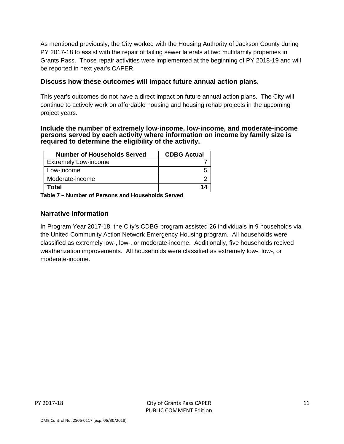As mentioned previously, the City worked with the Housing Authority of Jackson County during PY 2017-18 to assist with the repair of failing sewer laterals at two multifamily properties in Grants Pass. Those repair activities were implemented at the beginning of PY 2018-19 and will be reported in next year's CAPER.

#### **Discuss how these outcomes will impact future annual action plans.**

This year's outcomes do not have a direct impact on future annual action plans. The City will continue to actively work on affordable housing and housing rehab projects in the upcoming project years.

#### **Include the number of extremely low-income, low-income, and moderate-income persons served by each activity where information on income by family size is required to determine the eligibility of the activity.**

| <b>Number of Households Served</b> | <b>CDBG Actual</b> |
|------------------------------------|--------------------|
| <b>Extremely Low-income</b>        |                    |
| Low-income                         |                    |
| Moderate-income                    |                    |
| Total                              |                    |

**Table 7 – Number of Persons and Households Served** 

#### **Narrative Information**

In Program Year 2017-18, the City's CDBG program assisted 26 individuals in 9 households via the United Community Action Network Emergency Housing program. All households were classified as extremely low-, low-, or moderate-income. Additionally, five households recived weatherization improvements. All households were classified as extremely low-, low-, or moderate-income.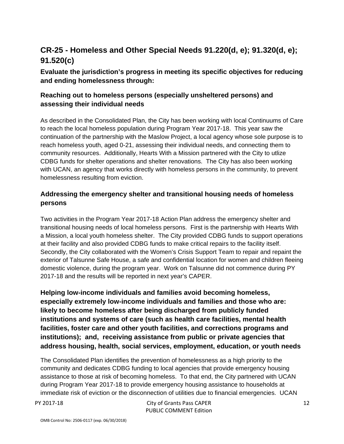## **CR-25 - Homeless and Other Special Needs 91.220(d, e); 91.320(d, e); 91.520(c)**

#### **Evaluate the jurisdiction's progress in meeting its specific objectives for reducing and ending homelessness through:**

#### **Reaching out to homeless persons (especially unsheltered persons) and assessing their individual needs**

As described in the Consolidated Plan, the City has been working with local Continuums of Care to reach the local homeless population during Program Year 2017-18. This year saw the continuation of the partnership with the Maslow Project, a local agency whose sole purpose is to reach homeless youth, aged 0-21, assessing their individual needs, and connecting them to community resources. Additionally, Hearts With a Mission partnered with the City to utlize CDBG funds for shelter operations and shelter renovations. The City has also been working with UCAN, an agency that works directly with homeless persons in the community, to prevent homelessness resulting from eviction.

#### **Addressing the emergency shelter and transitional housing needs of homeless persons**

Two activities in the Program Year 2017-18 Action Plan address the emergency shelter and transitional housing needs of local homeless persons. First is the partnership with Hearts With a Mission, a local youth homeless shelter. The City provided CDBG funds to support operations at their facility and also provided CDBG funds to make critical repairs to the facility itself. Secondly, the City collaborated with the Women's Crisis Support Team to repair and repaint the exterior of Talsunne Safe House, a safe and confidential location for women and children fleeing domestic violence, during the program year. Work on Talsunne did not commence during PY 2017-18 and the results will be reported in next year's CAPER.

**Helping low-income individuals and families avoid becoming homeless, especially extremely low-income individuals and families and those who are: likely to become homeless after being discharged from publicly funded institutions and systems of care (such as health care facilities, mental health facilities, foster care and other youth facilities, and corrections programs and institutions); and, receiving assistance from public or private agencies that address housing, health, social services, employment, education, or youth needs** 

The Consolidated Plan identifies the prevention of homelessness as a high priority to the community and dedicates CDBG funding to local agencies that provide emergency housing assistance to those at risk of becoming homeless. To that end, the City partnered with UCAN during Program Year 2017-18 to provide emergency housing assistance to households at immediate risk of eviction or the disconnection of utilities due to financial emergencies. UCAN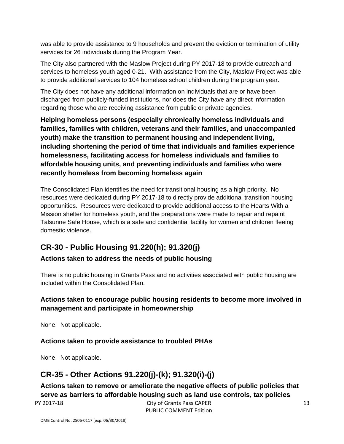was able to provide assistance to 9 households and prevent the eviction or termination of utility services for 26 individuals during the Program Year.

The City also partnered with the Maslow Project during PY 2017-18 to provide outreach and services to homeless youth aged 0-21. With assistance from the City, Maslow Project was able to provide additional services to 104 homeless school children during the program year.

The City does not have any additional information on individuals that are or have been discharged from publicly-funded institutions, nor does the City have any direct information regarding those who are receiving assistance from public or private agencies.

**Helping homeless persons (especially chronically homeless individuals and families, families with children, veterans and their families, and unaccompanied youth) make the transition to permanent housing and independent living, including shortening the period of time that individuals and families experience homelessness, facilitating access for homeless individuals and families to affordable housing units, and preventing individuals and families who were recently homeless from becoming homeless again** 

The Consolidated Plan identifies the need for transitional housing as a high priority. No resources were dedicated during PY 2017-18 to directly provide additional transition housing opportunities. Resources were dedicated to provide additional access to the Hearts With a Mission shelter for homeless youth, and the preparations were made to repair and repaint Talsunne Safe House, which is a safe and confidential facility for women and children fleeing domestic violence.

## **CR-30 - Public Housing 91.220(h); 91.320(j)**

#### **Actions taken to address the needs of public housing**

There is no public housing in Grants Pass and no activities associated with public housing are included within the Consolidated Plan.

#### **Actions taken to encourage public housing residents to become more involved in management and participate in homeownership**

None. Not applicable.

#### **Actions taken to provide assistance to troubled PHAs**

None. Not applicable.

## **CR-35 - Other Actions 91.220(j)-(k); 91.320(i)-(j)**

**Actions taken to remove or ameliorate the negative effects of public policies that serve as barriers to affordable housing such as land use controls, tax policies**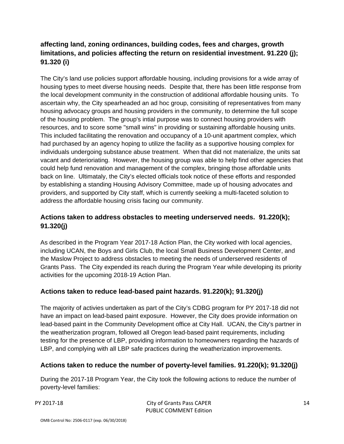#### **affecting land, zoning ordinances, building codes, fees and charges, growth limitations, and policies affecting the return on residential investment. 91.220 (j); 91.320 (i)**

The City's land use policies support affordable housing, including provisions for a wide array of housing types to meet diverse housing needs. Despite that, there has been little response from the local development community in the construction of additional affordable housing units. To ascertain why, the City spearheaded an ad hoc group, consisiting of representatives from many housing advocacy groups and housing providers in the community, to determine the full scope of the housing problem. The group's intial purpose was to connect housing providers with resources, and to score some "small wins" in providing or sustaining affordable housing units. This included facilitating the renovation and occupancy of a 10-unit apartment complex, which had purchased by an agency hoping to utilize the facility as a supportive housing complex for individuals undergoing substance abuse treatment. When that did not materialize, the units sat vacant and deterioriating. However, the housing group was able to help find other agencies that could help fund renovation and management of the complex, bringing those affordable units back on line. Ultimataly, the City's elected officials took notice of these efforts and responded by establishing a standing Housing Advisory Committee, made up of housing advocates and providers, and supported by City staff, which is currently seeking a multi-faceted solution to address the affordable housing crisis facing our community.

#### **Actions taken to address obstacles to meeting underserved needs. 91.220(k); 91.320(j)**

As described in the Program Year 2017-18 Action Plan, the City worked with local agencies, including UCAN, the Boys and Girls Club, the local Small Business Development Center, and the Maslow Project to address obstacles to meeting the needs of underserved residents of Grants Pass. The City expended its reach during the Program Year while developing its priority activities for the upcoming 2018-19 Action Plan.

#### **Actions taken to reduce lead-based paint hazards. 91.220(k); 91.320(j)**

The majority of activies undertaken as part of the City's CDBG program for PY 2017-18 did not have an impact on lead-based paint exposure. However, the City does provide information on lead-based paint in the Community Development office at City Hall. UCAN, the City's partner in the weatherization program, followed all Oregon lead-based paint requirements, including testing for the presence of LBP, providing information to homeowners regarding the hazards of LBP, and complying with all LBP safe practices during the weatherization improvements.

#### **Actions taken to reduce the number of poverty-level families. 91.220(k); 91.320(j)**

During the 2017-18 Program Year, the City took the following actions to reduce the number of poverty-level families: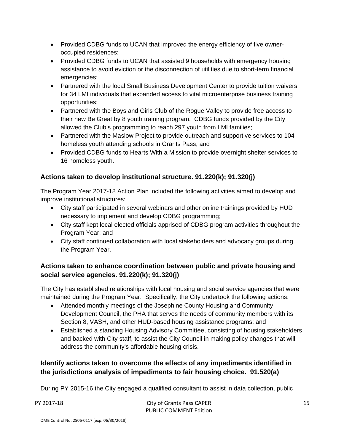- Provided CDBG funds to UCAN that improved the energy efficiency of five owneroccupied residences;
- Provided CDBG funds to UCAN that assisted 9 households with emergency housing assistance to avoid eviction or the disconnection of utilities due to short-term financial emergencies;
- Partnered with the local Small Business Development Center to provide tuition waivers for 34 LMI individuals that expanded access to vital microenterprise business training opportunities;
- Partnered with the Boys and Girls Club of the Rogue Valley to provide free access to their new Be Great by 8 youth training program. CDBG funds provided by the City allowed the Club's programming to reach 297 youth from LMI families;
- Partnered with the Maslow Project to provide outreach and supportive services to 104 homeless youth attending schools in Grants Pass; and
- Provided CDBG funds to Hearts With a Mission to provide overnight shelter services to 16 homeless youth.

#### **Actions taken to develop institutional structure. 91.220(k); 91.320(j)**

The Program Year 2017-18 Action Plan included the following activities aimed to develop and improve institutional structures:

- City staff participated in several webinars and other online trainings provided by HUD necessary to implement and develop CDBG programming;
- City staff kept local elected officials apprised of CDBG program activities throughout the Program Year; and
- City staff continued collaboration with local stakeholders and advocacy groups during the Program Year.

#### **Actions taken to enhance coordination between public and private housing and social service agencies. 91.220(k); 91.320(j)**

The City has established relationships with local housing and social service agencies that were maintained during the Program Year. Specifically, the City undertook the following actions:

- Attended monthly meetings of the Josephine County Housing and Community Development Council, the PHA that serves the needs of community members with its Section 8, VASH, and other HUD-based housing assistance programs; and
- Established a standing Housing Advisory Committee, consisting of housing stakeholders and backed with City staff, to assist the City Council in making policy changes that will address the community's affordable housing crisis.

#### **Identify actions taken to overcome the effects of any impediments identified in the jurisdictions analysis of impediments to fair housing choice. 91.520(a)**

During PY 2015-16 the City engaged a qualified consultant to assist in data collection, public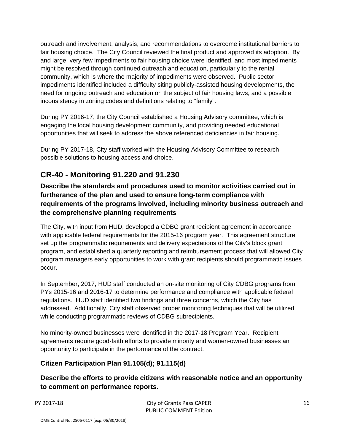outreach and involvement, analysis, and recommendations to overcome institutional barriers to fair housing choice. The City Council reviewed the final product and approved its adoption. By and large, very few impediments to fair housing choice were identified, and most impediments might be resolved through continued outreach and education, particularly to the rental community, which is where the majority of impediments were observed. Public sector impediments identified included a difficulty siting publicly-assisted housing developments, the need for ongoing outreach and education on the subject of fair housing laws, and a possible inconsistency in zoning codes and definitions relating to "family".

During PY 2016-17, the City Council established a Housing Advisory committee, which is engaging the local housing development community, and providing needed educational opportunities that will seek to address the above referenced deficiencies in fair housing.

During PY 2017-18, City staff worked with the Housing Advisory Committee to research possible solutions to housing access and choice.

## **CR-40 - Monitoring 91.220 and 91.230**

**Describe the standards and procedures used to monitor activities carried out in furtherance of the plan and used to ensure long-term compliance with requirements of the programs involved, including minority business outreach and the comprehensive planning requirements** 

The City, with input from HUD, developed a CDBG grant recipient agreement in accordance with applicable federal requirements for the 2015-16 program year. This agreement structure set up the programmatic requirements and delivery expectations of the City's block grant program, and established a quarterly reporting and reimbursement process that will allowed City program managers early opportunities to work with grant recipients should programmatic issues occur.

In September, 2017, HUD staff conducted an on-site monitoring of City CDBG programs from PYs 2015-16 and 2016-17 to determine performance and compliance with applicable federal regulations. HUD staff identified two findings and three concerns, which the City has addressed. Additionally, City staff observed proper monitoring techniques that will be utilized while conducting programmatic reviews of CDBG subrecipients.

No minority-owned businesses were identified in the 2017-18 Program Year. Recipient agreements require good-faith efforts to provide minority and women-owned businesses an opportunity to participate in the performance of the contract.

#### **Citizen Participation Plan 91.105(d); 91.115(d)**

**Describe the efforts to provide citizens with reasonable notice and an opportunity to comment on performance reports**.